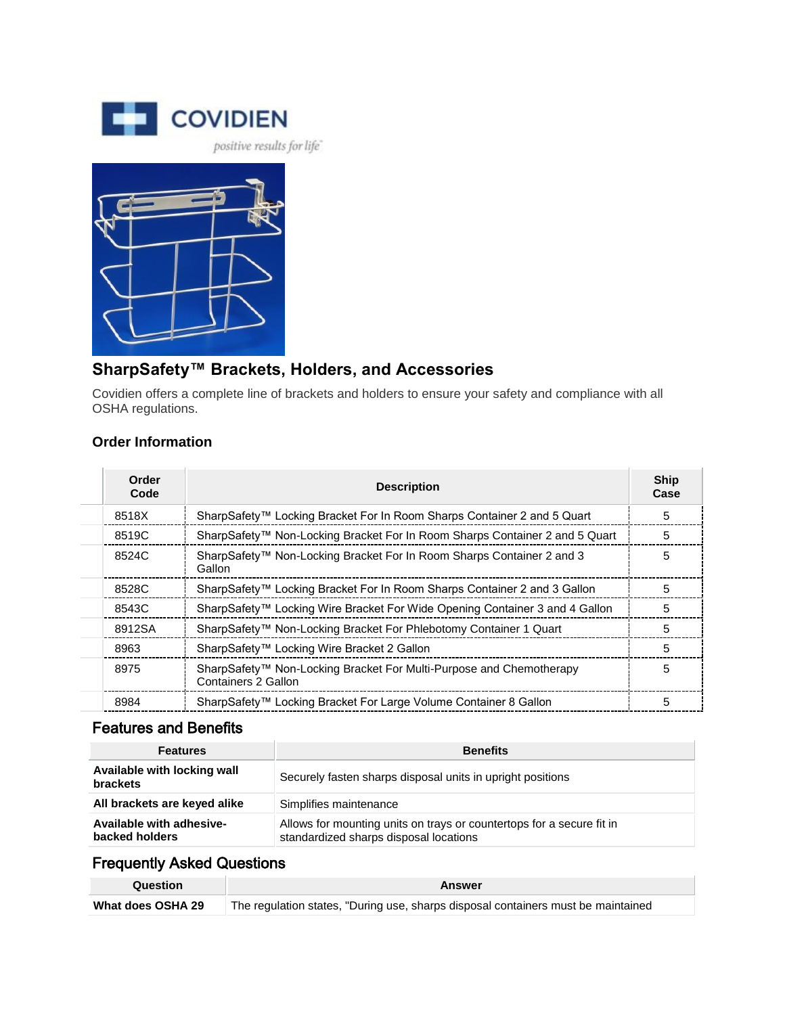

## **SharpSafety™ Brackets, Holders, and Accessories**

Covidien offers a complete line of brackets and holders to ensure your safety and compliance with all OSHA regulations.

## **Order Information**

| Order<br>Code | <b>Description</b>                                                                         | <b>Ship</b><br>Case |
|---------------|--------------------------------------------------------------------------------------------|---------------------|
| 8518X         | SharpSafety™ Locking Bracket For In Room Sharps Container 2 and 5 Quart                    | 5                   |
| 8519C         | SharpSafety™ Non-Locking Bracket For In Room Sharps Container 2 and 5 Quart                | 5                   |
| 8524C         | SharpSafety™ Non-Locking Bracket For In Room Sharps Container 2 and 3<br>Gallon            | 5                   |
| 8528C         | SharpSafety™ Locking Bracket For In Room Sharps Container 2 and 3 Gallon                   | 5                   |
| 8543C         | SharpSafety™ Locking Wire Bracket For Wide Opening Container 3 and 4 Gallon                | 5                   |
| 8912SA        | SharpSafety <sup>™</sup> Non-Locking Bracket For Phlebotomy Container 1 Quart              | 5                   |
| 8963          | SharpSafety <sup>™</sup> Locking Wire Bracket 2 Gallon                                     | 5                   |
| 8975          | SharpSafety™ Non-Locking Bracket For Multi-Purpose and Chemotherapy<br>Containers 2 Gallon | 5                   |
| 8984          | SharpSafety™ Locking Bracket For Large Volume Container 8 Gallon                           | 5                   |

## Features and Benefits

| <b>Features</b>                                | <b>Benefits</b>                                                                                                 |
|------------------------------------------------|-----------------------------------------------------------------------------------------------------------------|
| Available with locking wall<br><b>brackets</b> | Securely fasten sharps disposal units in upright positions                                                      |
| All brackets are keyed alike                   | Simplifies maintenance                                                                                          |
| Available with adhesive-<br>backed holders     | Allows for mounting units on trays or countertops for a secure fit in<br>standardized sharps disposal locations |

## Frequently Asked Questions

| Question          | Answer                                                                            |
|-------------------|-----------------------------------------------------------------------------------|
| What does OSHA 29 | The regulation states, "During use, sharps disposal containers must be maintained |